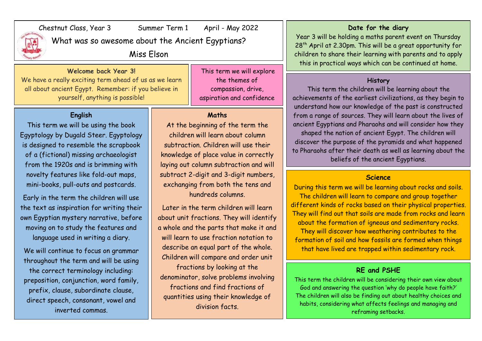

Chestnut Class, Year 3 Summer Term 1 April - May 2022

What was so awesome about the Ancient Egyptians?

Miss Elson

**Welcome back Year 3!** We have a really exciting term ahead of us as we learn all about ancient Egypt. Remember: if you believe in yourself, anything is possible!

## **English**

This term we will be using the book Egyptology by Dugald Steer. Egyptology is designed to resemble the scrapbook of a (fictional) missing archaeologist from the 1920s and is brimming with novelty features like fold-out maps, mini-books, pull-outs and postcards.

Early in the term the children will use the text as inspiration for writing their own Egyptian mystery narrative, before moving on to study the features and language used in writing a diary.

We will continue to focus on grammar throughout the term and will be using the correct terminology including: preposition, conjunction, word family, prefix, clause, subordinate clause, direct speech, consonant, vowel and inverted commas.

This term we will explore the themes of compassion, drive, aspiration and confidence

#### **Maths**

At the beginning of the term the children will learn about column subtraction. Children will use their knowledge of place value in correctly laying out column subtraction and will subtract 2-digit and 3-digit numbers, exchanging from both the tens and hundreds columns.

Later in the term children will learn about unit fractions. They will identify a whole and the parts that make it and will learn to use fraction notation to describe an equal part of the whole. Children will compare and order unit fractions by looking at the denominator, solve problems involving fractions and find fractions of quantities using their knowledge of division facts.

#### **Date for the diary**

Year 3 will be holding a maths parent event on Thursday 28<sup>th</sup> April at 2.30pm. This will be a great opportunity for children to share their learning with parents and to apply this in practical ways which can be continued at home.

### **History**

This term the children will be learning about the achievements of the earliest civilizations, as they begin to understand how our knowledge of the past is constructed from a range of sources. They will learn about the lives of ancient Egyptians and Pharaohs and will consider how they shaped the nation of ancient Egypt. The children will discover the purpose of the pyramids and what happened to Pharaohs after their death as well as learning about the beliefs of the ancient Egyptians.

## **Science**

During this term we will be learning about rocks and soils. The children will learn to compare and group together different kinds of rocks based on their physical properties. They will find out that soils are made from rocks and learn about the formation of igneous and sedimentary rocks. They will discover how weathering contributes to the formation of soil and how fossils are formed when things that have lived are trapped within sedimentary rock.

# **RE and PSHE**

This term the children will be considering their own view about God and answering the question 'why do people have faith?' The children will also be finding out about healthy choices and habits, considering what affects feelings and managing and reframing setbacks.